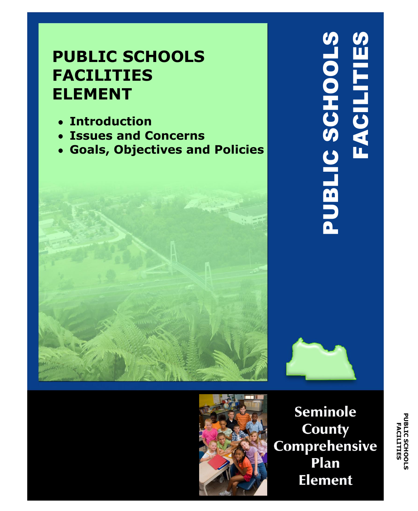# **PUBLIC SCHOOLS FACILITIES ELEMENT**

- **Introduction**
- **Issues and Concerns**
- **Goals, Objectives and Policies**







**Seminole County** Comprehensive Plan **Element**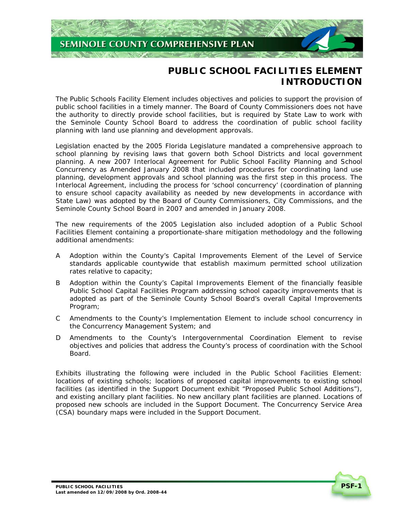

# **PUBLIC SCHOOL FACILITIES ELEMENT INTRODUCTION**

The Public Schools Facility Element includes objectives and policies to support the provision of public school facilities in a timely manner. The Board of County Commissioners does not have the authority to directly provide school facilities, but is required by State Law to work with the Seminole County School Board to address the coordination of public school facility planning with land use planning and development approvals.

Legislation enacted by the 2005 Florida Legislature mandated a comprehensive approach to school planning by revising laws that govern both School Districts and local government planning. A new 2007 Interlocal Agreement for Public School Facility Planning and School Concurrency as Amended January 2008 that included procedures for coordinating land use planning, development approvals and school planning was the first step in this process. The Interlocal Agreement, including the process for 'school concurrency' (coordination of planning to ensure school capacity availability as needed by new developments in accordance with State Law) was adopted by the Board of County Commissioners, City Commissions, and the Seminole County School Board in 2007 and amended in January 2008.

The new requirements of the 2005 Legislation also included adoption of a Public School Facilities Element containing a proportionate-share mitigation methodology and the following additional amendments:

- A Adoption within the County's Capital Improvements Element of the Level of Service standards applicable countywide that establish maximum permitted school utilization rates relative to capacity;
- B Adoption within the County's Capital Improvements Element of the financially feasible Public School Capital Facilities Program addressing school capacity improvements that is adopted as part of the Seminole County School Board's overall Capital Improvements Program;
- C Amendments to the County's Implementation Element to include school concurrency in the Concurrency Management System; and
- D Amendments to the County's Intergovernmental Coordination Element to revise objectives and policies that address the County's process of coordination with the School Board.

Exhibits illustrating the following were included in the Public School Facilities Element: locations of existing schools; locations of proposed capital improvements to existing school facilities (as identified in the Support Document exhibit "Proposed Public School Additions"), and existing ancillary plant facilities. No new ancillary plant facilities are planned. Locations of proposed new schools are included in the Support Document. The Concurrency Service Area (CSA) boundary maps were included in the Support Document.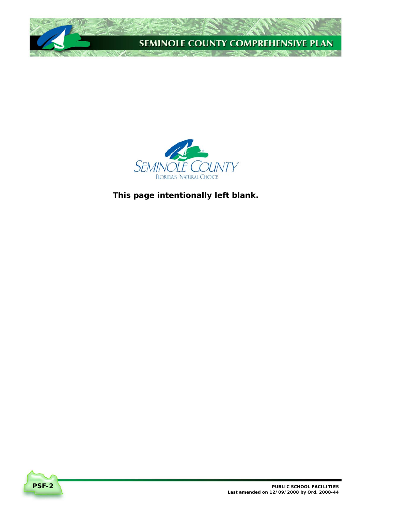



**This page intentionally left blank.** 

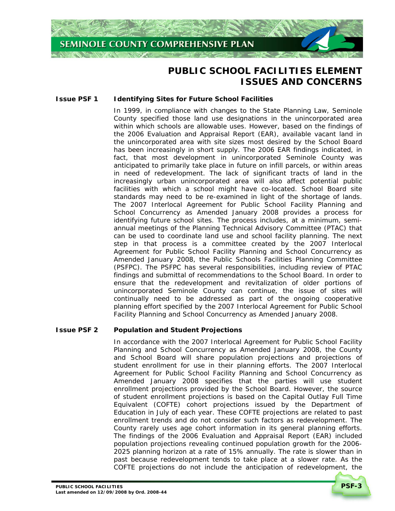

# **PUBLIC SCHOOL FACILITIES ELEMENT ISSUES AND CONCERNS**

# **Issue PSF 1 Identifying Sites for Future School Facilities**

In 1999, in compliance with changes to the State Planning Law, Seminole County specified those land use designations in the unincorporated area within which schools are allowable uses. However, based on the findings of the 2006 Evaluation and Appraisal Report (EAR), available vacant land in the unincorporated area with site sizes most desired by the School Board has been increasingly in short supply. The 2006 EAR findings indicated, in fact, that most development in unincorporated Seminole County was anticipated to primarily take place in future on infill parcels, or within areas in need of redevelopment. The lack of significant tracts of land in the increasingly urban unincorporated area will also affect potential public facilities with which a school might have co-located. School Board site standards may need to be re-examined in light of the shortage of lands. The 2007 Interlocal Agreement for Public School Facility Planning and School Concurrency as Amended January 2008 provides a process for identifying future school sites. The process includes, at a minimum, semiannual meetings of the Planning Technical Advisory Committee (PTAC) that can be used to coordinate land use and school facility planning. The next step in that process is a committee created by the 2007 Interlocal Agreement for Public School Facility Planning and School Concurrency as Amended January 2008, the Public Schools Facilities Planning Committee (PSFPC). The PSFPC has several responsibilities, including review of PTAC findings and submittal of recommendations to the School Board. In order to ensure that the redevelopment and revitalization of older portions of unincorporated Seminole County can continue, the issue of sites will continually need to be addressed as part of the ongoing cooperative planning effort specified by the 2007 Interlocal Agreement for Public School Facility Planning and School Concurrency as Amended January 2008.

# **Issue PSF 2 Population and Student Projections**

In accordance with the 2007 Interlocal Agreement for Public School Facility Planning and School Concurrency as Amended January 2008, the County and School Board will share population projections and projections of student enrollment for use in their planning efforts. The 2007 Interlocal Agreement for Public School Facility Planning and School Concurrency as Amended January 2008 specifies that the parties will use student enrollment projections provided by the School Board. However, the source of student enrollment projections is based on the Capital Outlay Full Time Equivalent (COFTE) cohort projections issued by the Department of Education in July of each year. These COFTE projections are related to past enrollment trends and do not consider such factors as redevelopment. The County rarely uses age cohort information in its general planning efforts. The findings of the 2006 Evaluation and Appraisal Report (EAR) included population projections revealing continued population growth for the 2006- 2025 planning horizon at a rate of 15% annually. The rate is slower than in past because redevelopment tends to take place at a slower rate. As the COFTE projections do not include the anticipation of redevelopment, the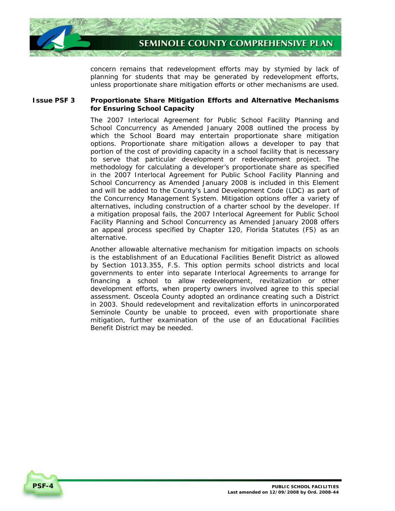

concern remains that redevelopment efforts may by stymied by lack of planning for students that may be generated by redevelopment efforts, unless proportionate share mitigation efforts or other mechanisms are used.

#### **Issue PSF 3 Proportionate Share Mitigation Efforts and Alternative Mechanisms for Ensuring School Capacity**

The 2007 Interlocal Agreement for Public School Facility Planning and School Concurrency as Amended January 2008 outlined the process by which the School Board may entertain proportionate share mitigation options. Proportionate share mitigation allows a developer to pay that portion of the cost of providing capacity in a school facility that is necessary to serve that particular development or redevelopment project. The methodology for calculating a developer's proportionate share as specified in the 2007 Interlocal Agreement for Public School Facility Planning and School Concurrency as Amended January 2008 is included in this Element and will be added to the County's Land Development Code (LDC) as part of the Concurrency Management System. Mitigation options offer a variety of alternatives, including construction of a charter school by the developer. If a mitigation proposal fails, the 2007 Interlocal Agreement for Public School Facility Planning and School Concurrency as Amended January 2008 offers an appeal process specified by Chapter 120, Florida Statutes (FS) as an alternative.

Another allowable alternative mechanism for mitigation impacts on schools is the establishment of an Educational Facilities Benefit District as allowed by Section 1013.355, F.S. This option permits school districts and local governments to enter into separate Interlocal Agreements to arrange for financing a school to allow redevelopment, revitalization or other development efforts, when property owners involved agree to this special assessment. Osceola County adopted an ordinance creating such a District in 2003. Should redevelopment and revitalization efforts in unincorporated Seminole County be unable to proceed, even with proportionate share mitigation, further examination of the use of an Educational Facilities Benefit District may be needed.

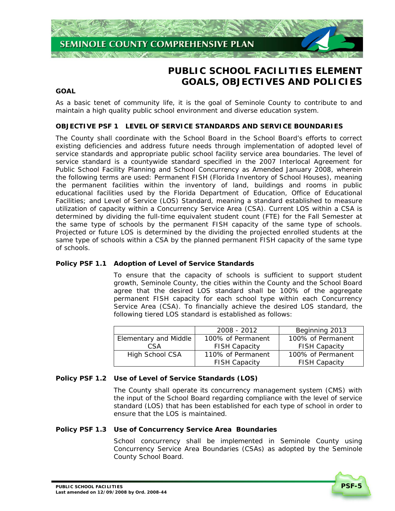

# **PUBLIC SCHOOL FACILITIES ELEMENT GOALS, OBJECTIVES AND POLICIES**

#### **GOAL**

As a basic tenet of community life, it is the goal of Seminole County to contribute to and maintain a high quality public school environment and diverse education system.

# **OBJECTIVE PSF 1 LEVEL OF SERVICE STANDARDS AND SERVICE BOUNDARIES**

The County shall coordinate with the School Board in the School Board's efforts to correct existing deficiencies and address future needs through implementation of adopted level of service standards and appropriate public school facility service area boundaries. The level of service standard is a countywide standard specified in the 2007 Interlocal Agreement for Public School Facility Planning and School Concurrency as Amended January 2008, wherein the following terms are used: Permanent FISH (Florida Inventory of School Houses), meaning the permanent facilities within the inventory of land, buildings and rooms in public educational facilities used by the Florida Department of Education, Office of Educational Facilities; and Level of Service (LOS) Standard, meaning a standard established to measure utilization of capacity within a Concurrency Service Area (CSA). Current LOS within a CSA is determined by dividing the full-time equivalent student count (FTE) for the Fall Semester at the same type of schools by the permanent FISH capacity of the same type of schools. Projected or future LOS is determined by the dividing the projected enrolled students at the same type of schools within a CSA by the planned permanent FISH capacity of the same type of schools.

#### **Policy PSF 1.1 Adoption of Level of Service Standards**

To ensure that the capacity of schools is sufficient to support student growth, Seminole County, the cities within the County and the School Board agree that the desired LOS standard shall be 100% of the aggregate permanent FISH capacity for each school type within each Concurrency Service Area (CSA). To financially achieve the desired LOS standard, the following tiered LOS standard is established as follows:

|                       | 2008 - 2012          | Beginning 2013       |
|-----------------------|----------------------|----------------------|
| Elementary and Middle | 100% of Permanent    | 100% of Permanent    |
| CSA                   | <b>FISH Capacity</b> | <b>FISH Capacity</b> |
| High School CSA       | 110% of Permanent    | 100% of Permanent    |
|                       | <b>FISH Capacity</b> | <b>FISH Capacity</b> |

# **Policy PSF 1.2 Use of Level of Service Standards (LOS)**

The County shall operate its concurrency management system (CMS) with the input of the School Board regarding compliance with the level of service standard (LOS) that has been established for each type of school in order to ensure that the LOS is maintained.

#### **Policy PSF 1.3 Use of Concurrency Service Area Boundaries**

School concurrency shall be implemented in Seminole County using Concurrency Service Area Boundaries (CSAs) as adopted by the Seminole County School Board.

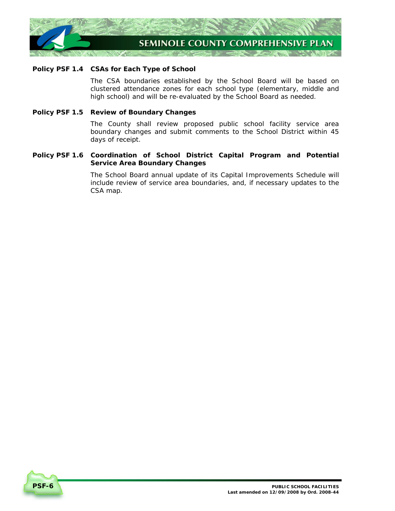

# **Policy PSF 1.4 CSAs for Each Type of School**

The CSA boundaries established by the School Board will be based on clustered attendance zones for each school type (elementary, middle and high school) and will be re-evaluated by the School Board as needed.

#### **Policy PSF 1.5 Review of Boundary Changes**

The County shall review proposed public school facility service area boundary changes and submit comments to the School District within 45 days of receipt.

#### **Policy PSF 1.6 Coordination of School District Capital Program and Potential Service Area Boundary Changes**

The School Board annual update of its Capital Improvements Schedule will include review of service area boundaries, and, if necessary updates to the CSA map.

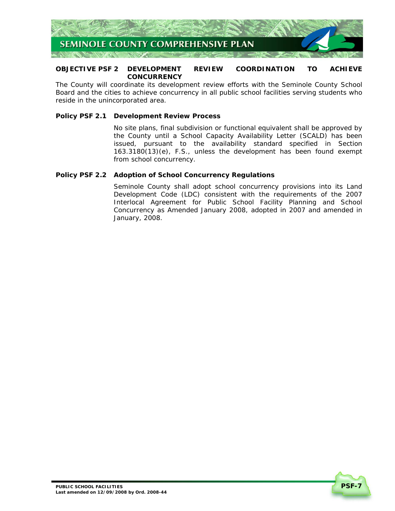

# **OBJECTIVE PSF 2 DEVELOPMENT REVIEW COORDINATION TO ACHIEVE CONCURRENCY**

The County will coordinate its development review efforts with the Seminole County School Board and the cities to achieve concurrency in all public school facilities serving students who reside in the unincorporated area.

# **Policy PSF 2.1 Development Review Process**

No site plans, final subdivision or functional equivalent shall be approved by the County until a School Capacity Availability Letter (SCALD) has been issued, pursuant to the availability standard specified in Section 163.3180(13)(e), F.S., unless the development has been found exempt from school concurrency.

#### **Policy PSF 2.2 Adoption of School Concurrency Regulations**

Seminole County shall adopt school concurrency provisions into its Land Development Code (LDC) consistent with the requirements of the 2007 Interlocal Agreement for Public School Facility Planning and School Concurrency as Amended January 2008, adopted in 2007 and amended in January, 2008.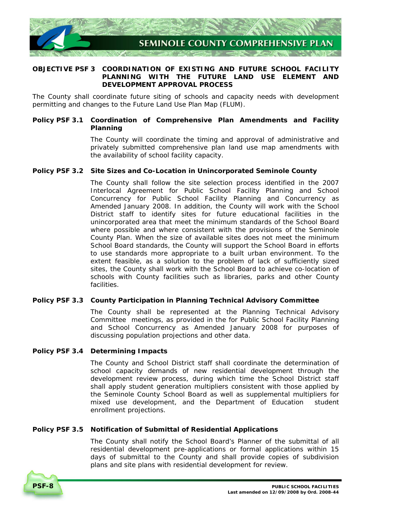

# **OBJECTIVE PSF 3 COORDINATION OF EXISTING AND FUTURE SCHOOL FACILITY PLANNING WITH THE FUTURE LAND USE ELEMENT AND DEVELOPMENT APPROVAL PROCESS**

The County shall coordinate future siting of schools and capacity needs with development permitting and changes to the Future Land Use Plan Map (FLUM).

# **Policy PSF 3.1 Coordination of Comprehensive Plan Amendments and Facility Planning**

The County will coordinate the timing and approval of administrative and privately submitted comprehensive plan land use map amendments with the availability of school facility capacity.

# **Policy PSF 3.2 Site Sizes and Co-Location in Unincorporated Seminole County**

The County shall follow the site selection process identified in the 2007 Interlocal Agreement for Public School Facility Planning and School Concurrency for Public School Facility Planning and Concurrency as Amended January 2008. In addition, the County will work with the School District staff to identify sites for future educational facilities in the unincorporated area that meet the minimum standards of the School Board where possible and where consistent with the provisions of the Seminole County Plan. When the size of available sites does not meet the minimum School Board standards, the County will support the School Board in efforts to use standards more appropriate to a built urban environment. To the extent feasible, as a solution to the problem of lack of sufficiently sized sites, the County shall work with the School Board to achieve co-location of schools with County facilities such as libraries, parks and other County facilities.

# **Policy PSF 3.3 County Participation in Planning Technical Advisory Committee**

The County shall be represented at the Planning Technical Advisory Committee meetings, as provided in the for Public School Facility Planning and School Concurrency as Amended January 2008 for purposes of discussing population projections and other data.

# **Policy PSF 3.4 Determining Impacts**

The County and School District staff shall coordinate the determination of school capacity demands of new residential development through the development review process, during which time the School District staff shall apply student generation multipliers consistent with those applied by the Seminole County School Board as well as supplemental multipliers for mixed use development, and the Department of Education student enrollment projections.

# **Policy PSF 3.5 Notification of Submittal of Residential Applications**

The County shall notify the School Board's Planner of the submittal of all residential development pre-applications or formal applications within 15 days of submittal to the County and shall provide copies of subdivision plans and site plans with residential development for review.

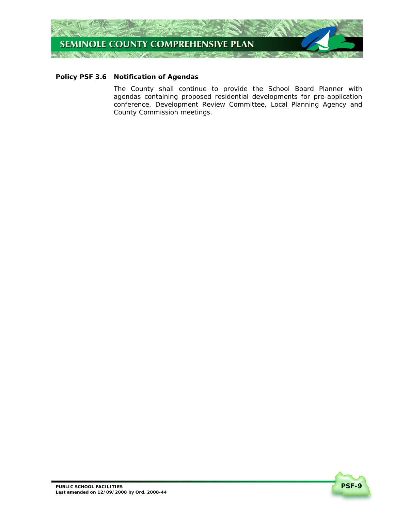

# **Policy PSF 3.6 Notification of Agendas**

The County shall continue to provide the School Board Planner with agendas containing proposed residential developments for pre-application conference, Development Review Committee, Local Planning Agency and County Commission meetings.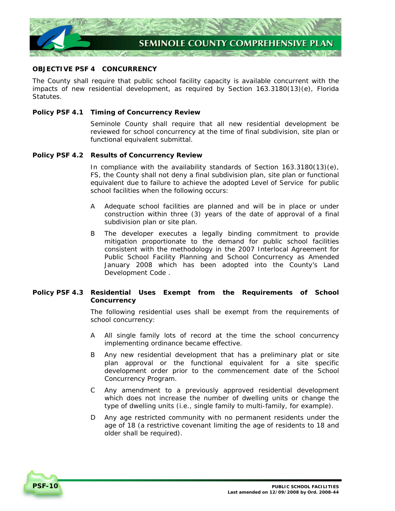

# **OBJECTIVE PSF 4 CONCURRENCY**

The County shall require that public school facility capacity is available concurrent with the impacts of new residential development, as required by Section 163.3180(13)(e), Florida Statutes.

# **Policy PSF 4.1 Timing of Concurrency Review**

Seminole County shall require that all new residential development be reviewed for school concurrency at the time of final subdivision, site plan or functional equivalent submittal.

#### **Policy PSF 4.2 Results of Concurrency Review**

In compliance with the availability standards of Section 163.3180(13)(e), FS, the County shall not deny a final subdivision plan, site plan or functional equivalent due to failure to achieve the adopted Level of Service for public school facilities when the following occurs:

- A Adequate school facilities are planned and will be in place or under construction within three (3) years of the date of approval of a final subdivision plan or site plan.
- B The developer executes a legally binding commitment to provide mitigation proportionate to the demand for public school facilities consistent with the methodology in the 2007 Interlocal Agreement for Public School Facility Planning and School Concurrency as Amended January 2008 which has been adopted into the County's Land Development Code .

# **Policy PSF 4.3 Residential Uses Exempt from the Requirements of School Concurrency**

The following residential uses shall be exempt from the requirements of school concurrency:

- A All single family lots of record at the time the school concurrency implementing ordinance became effective.
- B Any new residential development that has a preliminary plat or site plan approval or the functional equivalent for a site specific development order prior to the commencement date of the School Concurrency Program.
- C Any amendment to a previously approved residential development which does not increase the number of dwelling units or change the type of dwelling units (i.e., single family to multi-family, for example).
- D Any age restricted community with no permanent residents under the age of 18 (a restrictive covenant limiting the age of residents to 18 and older shall be required).

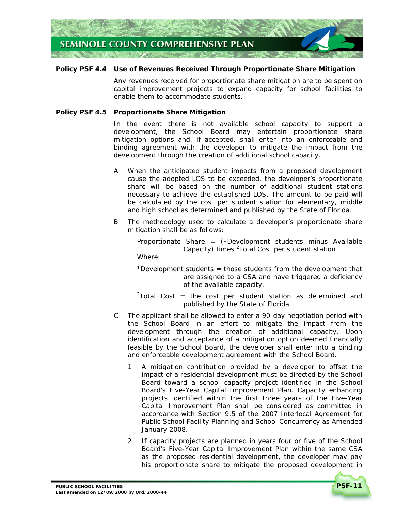

# **Policy PSF 4.4 Use of Revenues Received Through Proportionate Share Mitigation**

Any revenues received for proportionate share mitigation are to be spent on capital improvement projects to expand capacity for school facilities to enable them to accommodate students.

#### **Policy PSF 4.5 Proportionate Share Mitigation**

In the event there is not available school capacity to support a development, the School Board may entertain proportionate share mitigation options and, if accepted, shall enter into an enforceable and binding agreement with the developer to mitigate the impact from the development through the creation of additional school capacity.

- A When the anticipated student impacts from a proposed development cause the adopted LOS to be exceeded, the developer's proportionate share will be based on the number of additional student stations necessary to achieve the established LOS. The amount to be paid will be calculated by the cost per student station for elementary, middle and high school as determined and published by the State of Florida.
- B The methodology used to calculate a developer's proportionate share mitigation shall be as follows:

Proportionate Share =  $(1$ Development students minus Available Capacity) times <sup>2</sup>Total Cost per student station

*Where:* 

 $1$ Development students  $=$  those students from the development that are assigned to a CSA and have triggered a deficiency of the available capacity.

 $2$ Total Cost = the cost per student station as determined and published by the State of Florida.

- C The applicant shall be allowed to enter a 90-day negotiation period with the School Board in an effort to mitigate the impact from the development through the creation of additional capacity. Upon identification and acceptance of a mitigation option deemed financially feasible by the School Board, the developer shall enter into a binding and enforceable development agreement with the School Board.
	- 1 A mitigation contribution provided by a developer to offset the impact of a residential development must be directed by the School Board toward a school capacity project identified in the School Board's Five-Year Capital Improvement Plan. Capacity enhancing projects identified within the first three years of the Five-Year Capital Improvement Plan shall be considered as committed in accordance with Section 9.5 of the 2007 Interlocal Agreement for Public School Facility Planning and School Concurrency as Amended January 2008.
	- 2 If capacity projects are planned in years four or five of the School Board's Five-Year Capital Improvement Plan within the same CSA as the proposed residential development, the developer may pay his proportionate share to mitigate the proposed development in

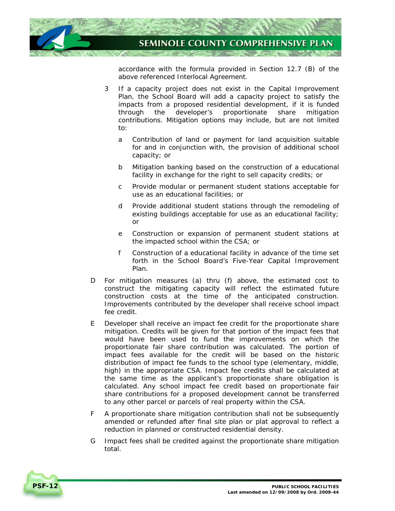

accordance with the formula provided in Section 12.7 (B) of the above referenced Interlocal Agreement.

- 3 If a capacity project does not exist in the Capital Improvement Plan, the School Board will add a capacity project to satisfy the impacts from a proposed residential development, if it is funded through the developer's proportionate share mitigation contributions. Mitigation options may include, but are not limited to:
	- a Contribution of land or payment for land acquisition suitable for and in conjunction with, the provision of additional school capacity; or
	- b Mitigation banking based on the construction of a educational facility in exchange for the right to sell capacity credits; or
	- c Provide modular or permanent student stations acceptable for use as an educational facilities; or
	- d Provide additional student stations through the remodeling of existing buildings acceptable for use as an educational facility; or
	- e Construction or expansion of permanent student stations at the impacted school within the CSA; or
	- f Construction of a educational facility in advance of the time set forth in the School Board's Five-Year Capital Improvement Plan.
- D For mitigation measures (a) thru (f) above, the estimated cost to construct the mitigating capacity will reflect the estimated future construction costs at the time of the anticipated construction. Improvements contributed by the developer shall receive school impact fee credit.
- E Developer shall receive an impact fee credit for the proportionate share mitigation. Credits will be given for that portion of the impact fees that would have been used to fund the improvements on which the proportionate fair share contribution was calculated. The portion of impact fees available for the credit will be based on the historic distribution of impact fee funds to the school type (elementary, middle, high) in the appropriate CSA. Impact fee credits shall be calculated at the same time as the applicant's proportionate share obligation is calculated. Any school impact fee credit based on proportionate fair share contributions for a proposed development cannot be transferred to any other parcel or parcels of real property within the CSA.
- F A proportionate share mitigation contribution shall not be subsequently amended or refunded after final site plan or plat approval to reflect a reduction in planned or constructed residential density.
- G Impact fees shall be credited against the proportionate share mitigation total.

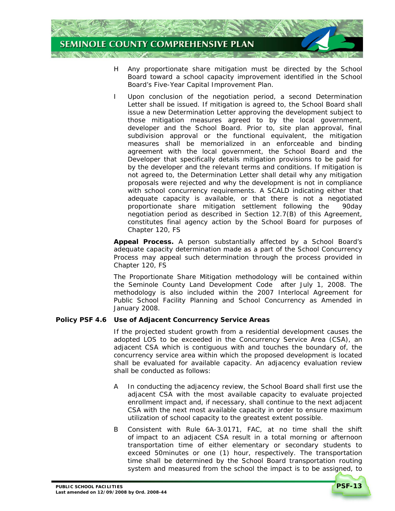

- H Any proportionate share mitigation must be directed by the School Board toward a school capacity improvement identified in the School Board's Five-Year Capital Improvement Plan.
- I Upon conclusion of the negotiation period, a second Determination Letter shall be issued. If mitigation is agreed to, the School Board shall issue a new Determination Letter approving the development subject to those mitigation measures agreed to by the local government, developer and the School Board. Prior to, site plan approval, final subdivision approval or the functional equivalent, the mitigation measures shall be memorialized in an enforceable and binding agreement with the local government, the School Board and the Developer that specifically details mitigation provisions to be paid for by the developer and the relevant terms and conditions. If mitigation is not agreed to, the Determination Letter shall detail why any mitigation proposals were rejected and why the development is not in compliance with school concurrency requirements. A SCALD indicating either that adequate capacity is available, or that there is not a negotiated proportionate share mitigation settlement following the 90day negotiation period as described in Section 12.7(B) of this Agreement, constitutes final agency action by the School Board for purposes of Chapter 120, FS

**Appeal Process.** A person substantially affected by a School Board's adequate capacity determination made as a part of the School Concurrency Process may appeal such determination through the process provided in Chapter 120, FS

The Proportionate Share Mitigation methodology will be contained within the Seminole County Land Development Code after July 1, 2008. The methodology is also included within the 2007 Interlocal Agreement for Public School Facility Planning and School Concurrency as Amended in January 2008.

# **Policy PSF 4.6 Use of Adjacent Concurrency Service Areas**

If the projected student growth from a residential development causes the adopted LOS to be exceeded in the Concurrency Service Area (CSA), an adjacent CSA which is contiguous with and touches the boundary of, the concurrency service area within which the proposed development is located shall be evaluated for available capacity. An adjacency evaluation review shall be conducted as follows:

- A In conducting the adjacency review, the School Board shall first use the adjacent CSA with the most available capacity to evaluate projected enrollment impact and, if necessary, shall continue to the next adjacent CSA with the next most available capacity in order to ensure maximum utilization of school capacity to the greatest extent possible.
- B Consistent with Rule 6A-3.0171, FAC, at no time shall the shift of impact to an adjacent CSA result in a total morning or afternoon transportation time of either elementary or secondary students to exceed 50minutes or one (1) hour, respectively. The transportation time shall be determined by the School Board transportation routing system and measured from the school the impact is to be assigned, to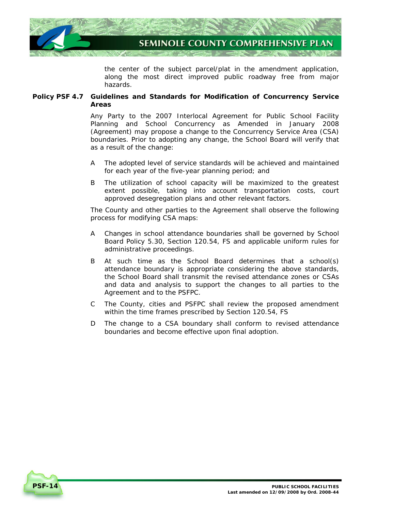

the center of the subject parcel/plat in the amendment application, along the most direct improved public roadway free from major hazards.

# **Policy PSF 4.7 Guidelines and Standards for Modification of Concurrency Service Areas**

Any Party to the 2007 Interlocal Agreement for Public School Facility Planning and School Concurrency as Amended in January 2008 (Agreement) may propose a change to the Concurrency Service Area (CSA) boundaries. Prior to adopting any change, the School Board will verify that as a result of the change:

- A The adopted level of service standards will be achieved and maintained for each year of the five-year planning period; and
- B The utilization of school capacity will be maximized to the greatest extent possible, taking into account transportation costs, court approved desegregation plans and other relevant factors.

The County and other parties to the Agreement shall observe the following process for modifying CSA maps:

- A Changes in school attendance boundaries shall be governed by School Board Policy 5.30, Section 120.54, FS and applicable uniform rules for administrative proceedings.
- B At such time as the School Board determines that a school(s) attendance boundary is appropriate considering the above standards, the School Board shall transmit the revised attendance zones or CSAs and data and analysis to support the changes to all parties to the Agreement and to the PSFPC.
- C The County, cities and PSFPC shall review the proposed amendment within the time frames prescribed by Section 120.54, FS
- D The change to a CSA boundary shall conform to revised attendance boundaries and become effective upon final adoption.

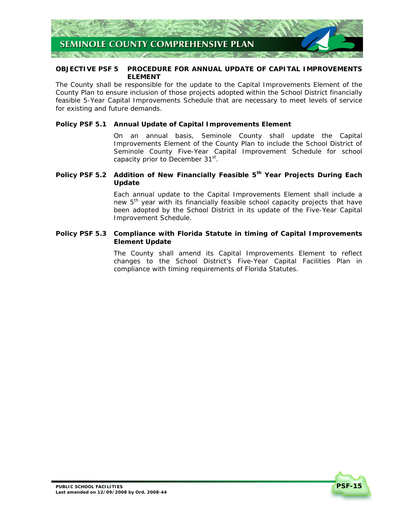

#### **OBJECTIVE PSF 5 PROCEDURE FOR ANNUAL UPDATE OF CAPITAL IMPROVEMENTS ELEMENT**

The County shall be responsible for the update to the Capital Improvements Element of the County Plan to ensure inclusion of those projects adopted within the School District financially feasible 5-Year Capital Improvements Schedule that are necessary to meet levels of service for existing and future demands.

# **Policy PSF 5.1 Annual Update of Capital Improvements Element**

On an annual basis, Seminole County shall update the Capital Improvements Element of the County Plan to include the School District of Seminole County Five-Year Capital Improvement Schedule for school capacity prior to December 31<sup>st</sup>.

# **Policy PSF 5.2 Addition of New Financially Feasible 5th Year Projects During Each Update**

Each annual update to the Capital Improvements Element shall include a new 5<sup>th</sup> year with its financially feasible school capacity projects that have been adopted by the School District in its update of the Five-Year Capital Improvement Schedule.

# **Policy PSF 5.3 Compliance with Florida Statute in timing of Capital Improvements Element Update**

The County shall amend its Capital Improvements Element to reflect changes to the School District's Five-Year Capital Facilities Plan in compliance with timing requirements of Florida Statutes.

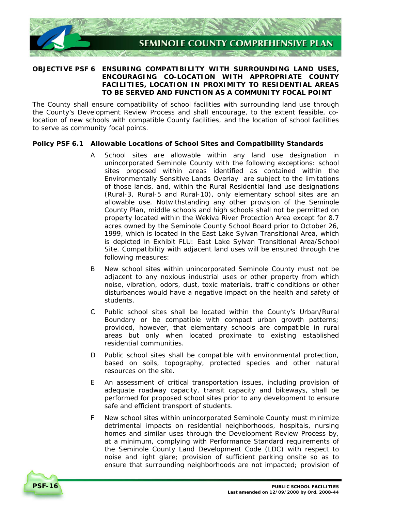

# **OBJECTIVE PSF 6 ENSURING COMPATIBILITY WITH SURROUNDING LAND USES, ENCOURAGING CO-LOCATION WITH APPROPRIATE COUNTY FACILITIES, LOCATION IN PROXIMITY TO RESIDENTIAL AREAS TO BE SERVED AND FUNCTION AS A COMMUNITY FOCAL POINT**

The County shall ensure compatibility of school facilities with surrounding land use through the County's Development Review Process and shall encourage, to the extent feasible, colocation of new schools with compatible County facilities, and the location of school facilities to serve as community focal points.

# **Policy PSF 6.1 Allowable Locations of School Sites and Compatibility Standards**

- A School sites are allowable within any land use designation in unincorporated Seminole County with the following exceptions: school sites proposed within areas identified as contained within the Environmentally Sensitive Lands Overlay are subject to the limitations of those lands, and, within the Rural Residential land use designations (Rural-3, Rural-5 and Rural-10), only elementary school sites are an allowable use. Notwithstanding any other provision of the Seminole County Plan, middle schools and high schools shall not be permitted on property located within the Wekiva River Protection Area except for 8.7 acres owned by the Seminole County School Board prior to October 26, 1999, which is located in the East Lake Sylvan Transitional Area, which is depicted in *Exhibit FLU: East Lake Sylvan Transitional Area/School Site*. Compatibility with adjacent land uses will be ensured through the following measures:
- B New school sites within unincorporated Seminole County must not be adjacent to any noxious industrial uses or other property from which noise, vibration, odors, dust, toxic materials, traffic conditions or other disturbances would have a negative impact on the health and safety of students.
- C Public school sites shall be located within the County's Urban/Rural Boundary or be compatible with compact urban growth patterns; provided, however, that elementary schools are compatible in rural areas but only when located proximate to existing established residential communities.
- D Public school sites shall be compatible with environmental protection, based on soils, topography, protected species and other natural resources on the site.
- E An assessment of critical transportation issues, including provision of adequate roadway capacity, transit capacity and bikeways, shall be performed for proposed school sites prior to any development to ensure safe and efficient transport of students.
- F New school sites within unincorporated Seminole County must minimize detrimental impacts on residential neighborhoods, hospitals, nursing homes and similar uses through the Development Review Process by, at a minimum, complying with Performance Standard requirements of the Seminole County Land Development Code (LDC) with respect to noise and light glare; provision of sufficient parking onsite so as to ensure that surrounding neighborhoods are not impacted; provision of

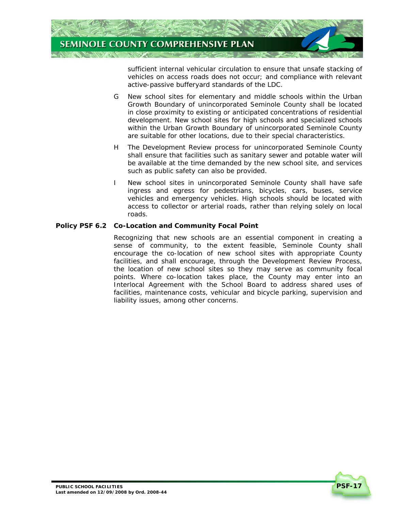

sufficient internal vehicular circulation to ensure that unsafe stacking of vehicles on access roads does not occur; and compliance with relevant active-passive bufferyard standards of the LDC.

- G New school sites for elementary and middle schools within the Urban Growth Boundary of unincorporated Seminole County shall be located in close proximity to existing or anticipated concentrations of residential development. New school sites for high schools and specialized schools within the Urban Growth Boundary of unincorporated Seminole County are suitable for other locations, due to their special characteristics.
- H The Development Review process for unincorporated Seminole County shall ensure that facilities such as sanitary sewer and potable water will be available at the time demanded by the new school site, and services such as public safety can also be provided.
- I New school sites in unincorporated Seminole County shall have safe ingress and egress for pedestrians, bicycles, cars, buses, service vehicles and emergency vehicles. High schools should be located with access to collector or arterial roads, rather than relying solely on local roads.

# **Policy PSF 6.2 Co-Location and Community Focal Point**

Recognizing that new schools are an essential component in creating a sense of community, to the extent feasible, Seminole County shall encourage the co-location of new school sites with appropriate County facilities, and shall encourage, through the Development Review Process, the location of new school sites so they may serve as community focal points. Where co-location takes place, the County may enter into an Interlocal Agreement with the School Board to address shared uses of facilities, maintenance costs, vehicular and bicycle parking, supervision and liability issues, among other concerns.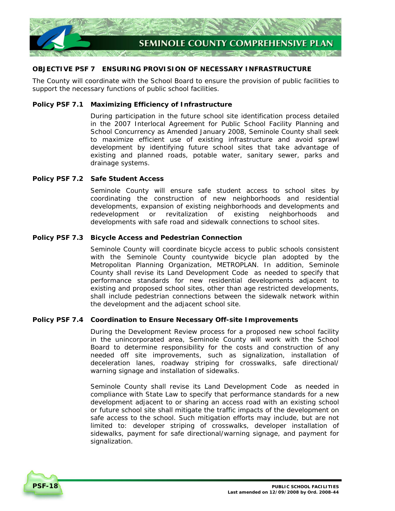

# **OBJECTIVE PSF 7 ENSURING PROVISION OF NECESSARY INFRASTRUCTURE**

The County will coordinate with the School Board to ensure the provision of public facilities to support the necessary functions of public school facilities.

# **Policy PSF 7.1 Maximizing Efficiency of Infrastructure**

During participation in the future school site identification process detailed in the 2007 Interlocal Agreement for Public School Facility Planning and School Concurrency as Amended January 2008, Seminole County shall seek to maximize efficient use of existing infrastructure and avoid sprawl development by identifying future school sites that take advantage of existing and planned roads, potable water, sanitary sewer, parks and drainage systems.

#### **Policy PSF 7.2 Safe Student Access**

Seminole County will ensure safe student access to school sites by coordinating the construction of new neighborhoods and residential developments, expansion of existing neighborhoods and developments and redevelopment or revitalization of existing neighborhoods and developments with safe road and sidewalk connections to school sites.

# **Policy PSF 7.3 Bicycle Access and Pedestrian Connection**

Seminole County will coordinate bicycle access to public schools consistent with the Seminole County countywide bicycle plan adopted by the Metropolitan Planning Organization, METROPLAN. In addition, Seminole County shall revise its Land Development Code as needed to specify that performance standards for new residential developments adjacent to existing and proposed school sites, other than age restricted developments, shall include pedestrian connections between the sidewalk network within the development and the adjacent school site.

#### **Policy PSF 7.4 Coordination to Ensure Necessary Off-site Improvements**

During the Development Review process for a proposed new school facility in the unincorporated area, Seminole County will work with the School Board to determine responsibility for the costs and construction of any needed off site improvements, such as signalization, installation of deceleration lanes, roadway striping for crosswalks, safe directional/ warning signage and installation of sidewalks.

Seminole County shall revise its Land Development Code as needed in compliance with State Law to specify that performance standards for a new development adjacent to or sharing an access road with an existing school or future school site shall mitigate the traffic impacts of the development on safe access to the school. Such mitigation efforts may include, but are not limited to: developer striping of crosswalks, developer installation of sidewalks, payment for safe directional/warning signage, and payment for signalization.

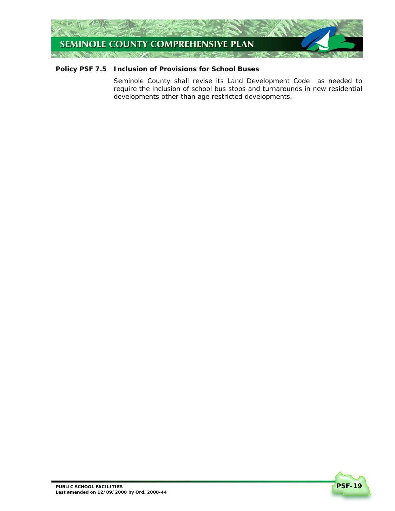

# **Policy PSF 7.5 Inclusion of Provisions for School Buses**

Seminole County shall revise its Land Development Code as needed to require the inclusion of school bus stops and turnarounds in new residential developments other than age restricted developments.